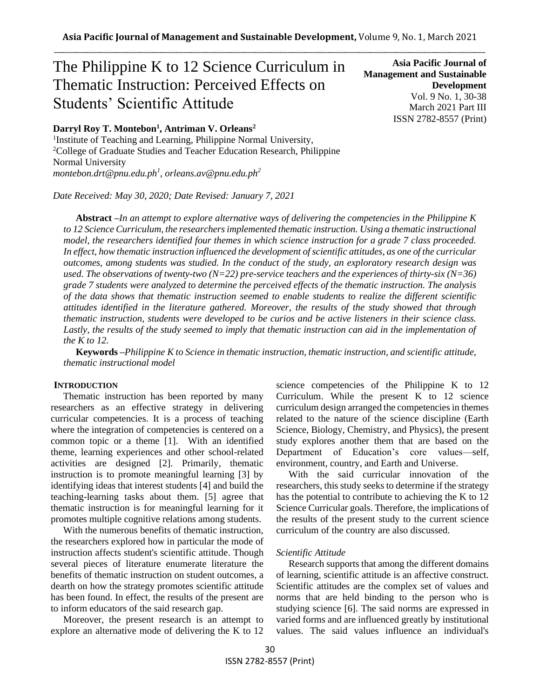# The Philippine K to 12 Science Curriculum in Thematic Instruction: Perceived Effects on Students' Scientific Attitude

## **Darryl Roy T. Montebon<sup>1</sup> , Antriman V. Orleans<sup>2</sup>**

<sup>1</sup>Institute of Teaching and Learning, Philippine Normal University, <sup>2</sup>College of Graduate Studies and Teacher Education Research, Philippine Normal University *montebon.drt@pnu.edu.ph<sup>1</sup> , orleans.av@pnu.edu.ph<sup>2</sup>*

*Date Received: May 30, 2020; Date Revised: January 7, 2021*

**Asia Pacific Journal of Management and Sustainable Development**  Vol. 9 No. 1, 30-38 March 2021 Part III ISSN 2782-8557 (Print)

**Abstract** *–In an attempt to explore alternative ways of delivering the competencies in the Philippine K to 12 Science Curriculum, the researchers implemented thematic instruction. Using a thematic instructional model, the researchers identified four themes in which science instruction for a grade 7 class proceeded. In effect, how thematic instruction influenced the development of scientific attitudes, as one of the curricular outcomes, among students was studied. In the conduct of the study, an exploratory research design was used. The observations of twenty-two (N=22) pre-service teachers and the experiences of thirty-six (N=36) grade 7 students were analyzed to determine the perceived effects of the thematic instruction. The analysis of the data shows that thematic instruction seemed to enable students to realize the different scientific attitudes identified in the literature gathered. Moreover, the results of the study showed that through thematic instruction, students were developed to be curios and be active listeners in their science class.*  Lastly, the results of the study seemed to imply that thematic instruction can aid in the implementation of *the K to 12.*

**Keywords** *–Philippine K to Science in thematic instruction, thematic instruction, and scientific attitude, thematic instructional model*

#### **INTRODUCTION**

Thematic instruction has been reported by many researchers as an effective strategy in delivering curricular competencies. It is a process of teaching where the integration of competencies is centered on a common topic or a theme [1]. With an identified theme, learning experiences and other school-related activities are designed [2]. Primarily, thematic instruction is to promote meaningful learning [3] by identifying ideas that interest students [4] and build the teaching-learning tasks about them. [5] agree that thematic instruction is for meaningful learning for it promotes multiple cognitive relations among students.

With the numerous benefits of thematic instruction, the researchers explored how in particular the mode of instruction affects student's scientific attitude. Though several pieces of literature enumerate literature the benefits of thematic instruction on student outcomes, a dearth on how the strategy promotes scientific attitude has been found. In effect, the results of the present are to inform educators of the said research gap.

Moreover, the present research is an attempt to explore an alternative mode of delivering the K to 12 science competencies of the Philippine K to 12 Curriculum. While the present K to 12 science curriculum design arranged the competencies in themes related to the nature of the science discipline (Earth Science, Biology, Chemistry, and Physics), the present study explores another them that are based on the Department of Education's core values—self, environment, country, and Earth and Universe.

With the said curricular innovation of the researchers, this study seeks to determine if the strategy has the potential to contribute to achieving the K to 12 Science Curricular goals. Therefore, the implications of the results of the present study to the current science curriculum of the country are also discussed.

#### *Scientific Attitude*

Research supports that among the different domains of learning, scientific attitude is an affective construct. Scientific attitudes are the complex set of values and norms that are held binding to the person who is studying science [6]. The said norms are expressed in varied forms and are influenced greatly by institutional values. The said values influence an individual's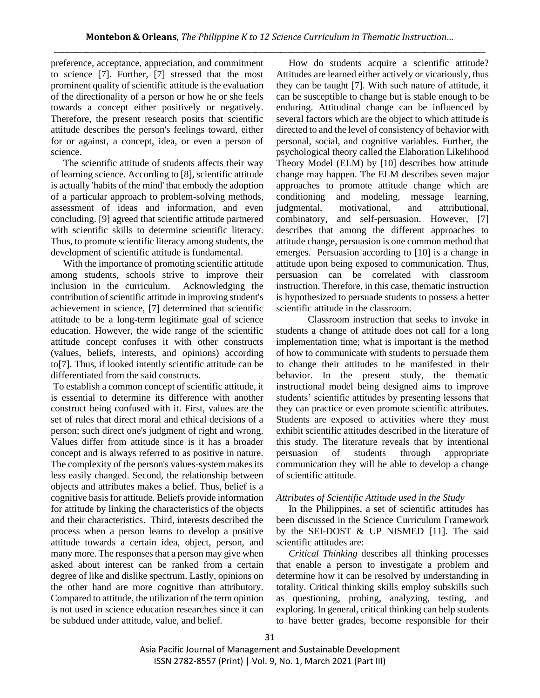preference, acceptance, appreciation, and commitment to science [7]. Further, [7] stressed that the most prominent quality of scientific attitude is the evaluation of the directionality of a person or how he or she feels towards a concept either positively or negatively. Therefore, the present research posits that scientific attitude describes the person's feelings toward, either for or against, a concept, idea, or even a person of science.

The scientific attitude of students affects their way of learning science. According to [8], scientific attitude is actually 'habits of the mind' that embody the adoption of a particular approach to problem-solving methods, assessment of ideas and information, and even concluding. [9] agreed that scientific attitude partnered with scientific skills to determine scientific literacy. Thus, to promote scientific literacy among students, the development of scientific attitude is fundamental.

With the importance of promoting scientific attitude among students, schools strive to improve their inclusion in the curriculum. Acknowledging the contribution of scientific attitude in improving student's achievement in science, [7] determined that scientific attitude to be a long-term legitimate goal of science education. However, the wide range of the scientific attitude concept confuses it with other constructs (values, beliefs, interests, and opinions) according to[7]. Thus, if looked intently scientific attitude can be differentiated from the said constructs.

To establish a common concept of scientific attitude, it is essential to determine its difference with another construct being confused with it. First, values are the set of rules that direct moral and ethical decisions of a person; such direct one's judgment of right and wrong. Values differ from attitude since is it has a broader concept and is always referred to as positive in nature. The complexity of the person's values-system makes its less easily changed. Second, the relationship between objects and attributes makes a belief. Thus, belief is a cognitive basis for attitude. Beliefs provide information for attitude by linking the characteristics of the objects and their characteristics. Third, interests described the process when a person learns to develop a positive attitude towards a certain idea, object, person, and many more. The responses that a person may give when asked about interest can be ranked from a certain degree of like and dislike spectrum. Lastly, opinions on the other hand are more cognitive than attributory. Compared to attitude, the utilization of the term opinion is not used in science education researches since it can be subdued under attitude, value, and belief.

How do students acquire a scientific attitude? Attitudes are learned either actively or vicariously, thus they can be taught [7]. With such nature of attitude, it can be susceptible to change but is stable enough to be enduring. Attitudinal change can be influenced by several factors which are the object to which attitude is directed to and the level of consistency of behavior with personal, social, and cognitive variables. Further, the psychological theory called the Elaboration Likelihood Theory Model (ELM) by [10] describes how attitude change may happen. The ELM describes seven major approaches to promote attitude change which are conditioning and modeling, message learning, judgmental, motivational, and attributional, combinatory, and self-persuasion. However, [7] describes that among the different approaches to attitude change, persuasion is one common method that emerges. Persuasion according to [10] is a change in attitude upon being exposed to communication. Thus, persuasion can be correlated with classroom instruction. Therefore, in this case, thematic instruction is hypothesized to persuade students to possess a better scientific attitude in the classroom.

Classroom instruction that seeks to invoke in students a change of attitude does not call for a long implementation time; what is important is the method of how to communicate with students to persuade them to change their attitudes to be manifested in their behavior. In the present study, the thematic instructional model being designed aims to improve students' scientific attitudes by presenting lessons that they can practice or even promote scientific attributes. Students are exposed to activities where they must exhibit scientific attitudes described in the literature of this study. The literature reveals that by intentional persuasion of students through appropriate communication they will be able to develop a change of scientific attitude.

## *Attributes of Scientific Attitude used in the Study*

In the Philippines, a set of scientific attitudes has been discussed in the Science Curriculum Framework by the SEI-DOST  $&$  UP NISMED [11]. The said scientific attitudes are:

*Critical Thinking* describes all thinking processes that enable a person to investigate a problem and determine how it can be resolved by understanding in totality. Critical thinking skills employ subskills such as questioning, probing, analyzing, testing, and exploring. In general, critical thinking can help students to have better grades, become responsible for their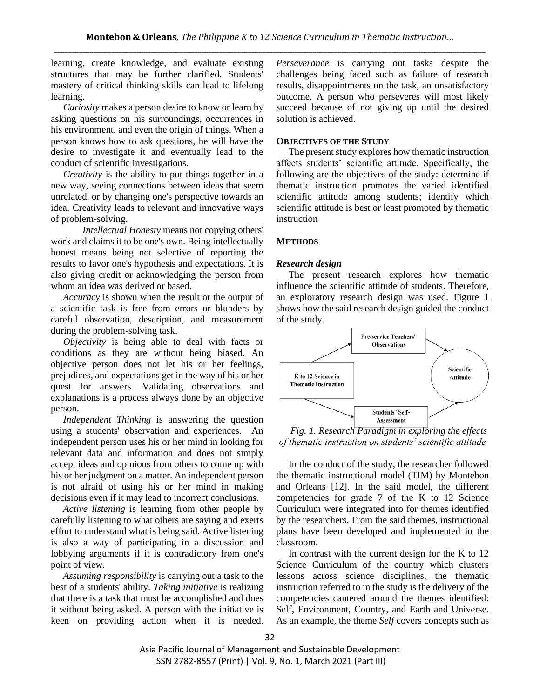learning, create knowledge, and evaluate existing structures that may be further clarified. Students' mastery of critical thinking skills can lead to lifelong learning.

*Curiosity* makes a person desire to know or learn by asking questions on his surroundings, occurrences in his environment, and even the origin of things. When a person knows how to ask questions, he will have the desire to investigate it and eventually lead to the conduct of scientific investigations.

*Creativity* is the ability to put things together in a new way, seeing connections between ideas that seem unrelated, or by changing one's perspective towards an idea. Creativity leads to relevant and innovative ways of problem-solving.

*Intellectual Honesty* means not copying others' work and claims it to be one's own. Being intellectually honest means being not selective of reporting the results to favor one's hypothesis and expectations. It is also giving credit or acknowledging the person from whom an idea was derived or based.

*Accuracy* is shown when the result or the output of a scientific task is free from errors or blunders by careful observation, description, and measurement during the problem-solving task.

*Objectivity* is being able to deal with facts or conditions as they are without being biased. An objective person does not let his or her feelings, prejudices, and expectations get in the way of his or her quest for answers. Validating observations and explanations is a process always done by an objective person.

*Independent Thinking* is answering the question using a students' observation and experiences. An independent person uses his or her mind in looking for relevant data and information and does not simply accept ideas and opinions from others to come up with his or her judgment on a matter. An independent person is not afraid of using his or her mind in making decisions even if it may lead to incorrect conclusions.

*Active listening* is learning from other people by carefully listening to what others are saying and exerts effort to understand what is being said. Active listening is also a way of participating in a discussion and lobbying arguments if it is contradictory from one's point of view.

*Assuming responsibility* is carrying out a task to the best of a students' ability. *Taking initiative* is realizing that there is a task that must be accomplished and does it without being asked. A person with the initiative is keen on providing action when it is needed. *Perseverance* is carrying out tasks despite the challenges being faced such as failure of research results, disappointments on the task, an unsatisfactory outcome. A person who perseveres will most likely succeed because of not giving up until the desired solution is achieved.

## **OBJECTIVES OF THE STUDY**

The present study explores how thematic instruction affects students' scientific attitude. Specifically, the following are the objectives of the study: determine if thematic instruction promotes the varied identified scientific attitude among students; identify which scientific attitude is best or least promoted by thematic instruction

## **METHODS**

### *Research design*

The present research explores how thematic influence the scientific attitude of students. Therefore, an exploratory research design was used. Figure 1 shows how the said research design guided the conduct of the study.



*Fig. 1. Research Paradigm in exploring the effects of thematic instruction on students' scientific attitude*

In the conduct of the study, the researcher followed the thematic instructional model (TIM) by Montebon and Orleans [12]. In the said model, the different competencies for grade 7 of the K to 12 Science Curriculum were integrated into for themes identified by the researchers. From the said themes, instructional plans have been developed and implemented in the classroom.

In contrast with the current design for the K to 12 Science Curriculum of the country which clusters lessons across science disciplines, the thematic instruction referred to in the study is the delivery of the competencies cantered around the themes identified: Self, Environment, Country, and Earth and Universe. As an example, the theme *Self* covers concepts such as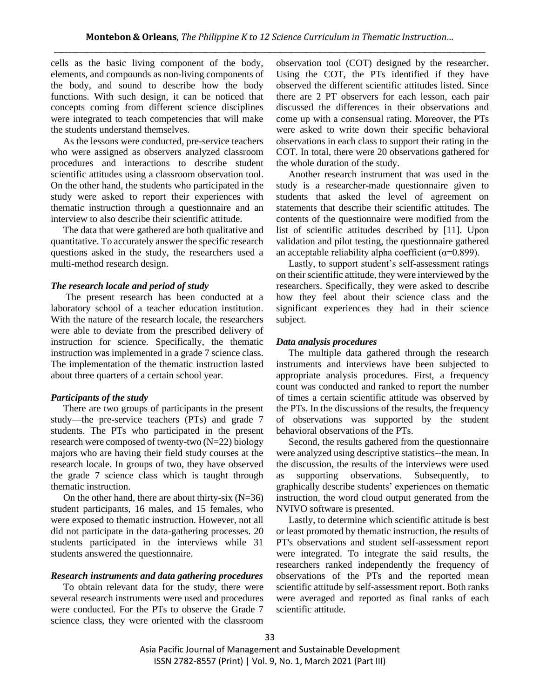cells as the basic living component of the body, elements, and compounds as non-living components of the body, and sound to describe how the body functions. With such design, it can be noticed that concepts coming from different science disciplines were integrated to teach competencies that will make the students understand themselves.

As the lessons were conducted, pre-service teachers who were assigned as observers analyzed classroom procedures and interactions to describe student scientific attitudes using a classroom observation tool. On the other hand, the students who participated in the study were asked to report their experiences with thematic instruction through a questionnaire and an interview to also describe their scientific attitude.

The data that were gathered are both qualitative and quantitative. To accurately answer the specific research questions asked in the study, the researchers used a multi-method research design.

#### *The research locale and period of study*

The present research has been conducted at a laboratory school of a teacher education institution. With the nature of the research locale, the researchers were able to deviate from the prescribed delivery of instruction for science. Specifically, the thematic instruction was implemented in a grade 7 science class. The implementation of the thematic instruction lasted about three quarters of a certain school year.

### *Participants of the study*

There are two groups of participants in the present study—the pre-service teachers (PTs) and grade 7 students. The PTs who participated in the present research were composed of twenty-two (N=22) biology majors who are having their field study courses at the research locale. In groups of two, they have observed the grade 7 science class which is taught through thematic instruction.

On the other hand, there are about thirty-six  $(N=36)$ student participants, 16 males, and 15 females, who were exposed to thematic instruction. However, not all did not participate in the data-gathering processes. 20 students participated in the interviews while 31 students answered the questionnaire.

#### *Research instruments and data gathering procedures*

To obtain relevant data for the study, there were several research instruments were used and procedures were conducted. For the PTs to observe the Grade 7 science class, they were oriented with the classroom observation tool (COT) designed by the researcher. Using the COT, the PTs identified if they have observed the different scientific attitudes listed. Since there are 2 PT observers for each lesson, each pair discussed the differences in their observations and come up with a consensual rating. Moreover, the PTs were asked to write down their specific behavioral observations in each class to support their rating in the COT. In total, there were 20 observations gathered for the whole duration of the study.

Another research instrument that was used in the study is a researcher-made questionnaire given to students that asked the level of agreement on statements that describe their scientific attitudes. The contents of the questionnaire were modified from the list of scientific attitudes described by [11]. Upon validation and pilot testing, the questionnaire gathered an acceptable reliability alpha coefficient ( $\alpha$ =0.899).

Lastly, to support student's self-assessment ratings on their scientific attitude, they were interviewed by the researchers. Specifically, they were asked to describe how they feel about their science class and the significant experiences they had in their science subject.

#### *Data analysis procedures*

The multiple data gathered through the research instruments and interviews have been subjected to appropriate analysis procedures. First, a frequency count was conducted and ranked to report the number of times a certain scientific attitude was observed by the PTs. In the discussions of the results, the frequency of observations was supported by the student behavioral observations of the PTs.

Second, the results gathered from the questionnaire were analyzed using descriptive statistics--the mean. In the discussion, the results of the interviews were used as supporting observations. Subsequently, graphically describe students' experiences on thematic instruction, the word cloud output generated from the NVIVO software is presented.

Lastly, to determine which scientific attitude is best or least promoted by thematic instruction, the results of PT's observations and student self-assessment report were integrated. To integrate the said results, the researchers ranked independently the frequency of observations of the PTs and the reported mean scientific attitude by self-assessment report. Both ranks were averaged and reported as final ranks of each scientific attitude.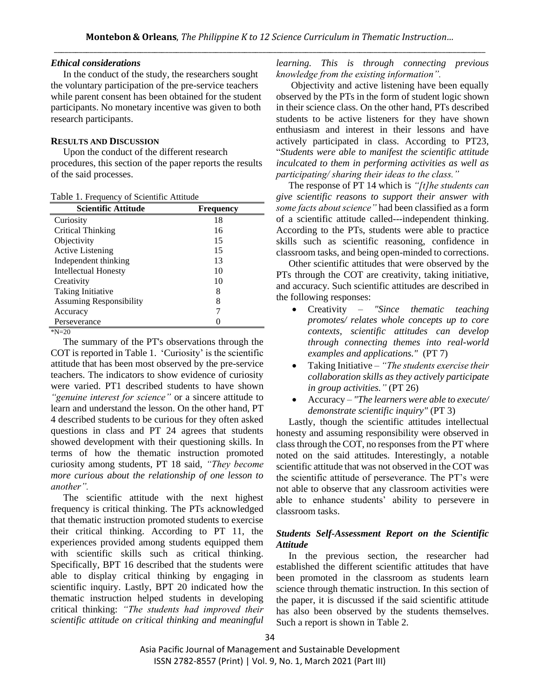## *Ethical considerations*

In the conduct of the study, the researchers sought the voluntary participation of the pre-service teachers while parent consent has been obtained for the student participants. No monetary incentive was given to both research participants.

## **RESULTS AND DISCUSSION**

Upon the conduct of the different research procedures, this section of the paper reports the results of the said processes.

|  |  | Table 1. Frequency of Scientific Attitude |  |
|--|--|-------------------------------------------|--|
|--|--|-------------------------------------------|--|

| <b>Scientific Attitude</b>     | Frequency |
|--------------------------------|-----------|
| Curiosity                      | 18        |
| Critical Thinking              | 16        |
| Objectivity                    | 15        |
| <b>Active Listening</b>        | 15        |
| Independent thinking           | 13        |
| <b>Intellectual Honesty</b>    | 10        |
| Creativity                     | 10        |
| Taking Initiative              | 8         |
| <b>Assuming Responsibility</b> | 8         |
| Accuracy                       |           |
| Perseverance                   |           |

 $N=20$ 

The summary of the PT's observations through the COT is reported in Table 1. 'Curiosity' is the scientific attitude that has been most observed by the pre-service teachers. The indicators to show evidence of curiosity were varied. PT1 described students to have shown *"genuine interest for science"* or a sincere attitude to learn and understand the lesson. On the other hand, PT 4 described students to be curious for they often asked questions in class and PT 24 agrees that students showed development with their questioning skills. In terms of how the thematic instruction promoted curiosity among students, PT 18 said, *"They become more curious about the relationship of one lesson to another".*

The scientific attitude with the next highest frequency is critical thinking. The PTs acknowledged that thematic instruction promoted students to exercise their critical thinking. According to PT 11, the experiences provided among students equipped them with scientific skills such as critical thinking. Specifically, BPT 16 described that the students were able to display critical thinking by engaging in scientific inquiry. Lastly, BPT 20 indicated how the thematic instruction helped students in developing critical thinking: *"The students had improved their scientific attitude on critical thinking and meaningful*  *learning. This is through connecting previous knowledge from the existing information".* 

Objectivity and active listening have been equally observed by the PTs in the form of student logic shown in their science class. On the other hand, PTs described students to be active listeners for they have shown enthusiasm and interest in their lessons and have actively participated in class. According to PT23, "*Students were able to manifest the scientific attitude inculcated to them in performing activities as well as participating/ sharing their ideas to the class."*

The response of PT 14 which is *"[t]he students can give scientific reasons to support their answer with some facts about science"* had been classified as a form of a scientific attitude called---independent thinking. According to the PTs, students were able to practice skills such as scientific reasoning, confidence in classroom tasks, and being open-minded to corrections.

Other scientific attitudes that were observed by the PTs through the COT are creativity, taking initiative, and accuracy. Such scientific attitudes are described in the following responses:

- Creativity *"Since thematic teaching promotes/ relates whole concepts up to core contexts, scientific attitudes can develop through connecting themes into real-world examples and applications."* (PT 7)
- Taking Initiative *"The students exercise their collaboration skills as they actively participate in group activities."* (PT 26)
- Accuracy *"The learners were able to execute/ demonstrate scientific inquiry"* (PT 3)

Lastly, though the scientific attitudes intellectual honesty and assuming responsibility were observed in class through the COT, no responses from the PT where noted on the said attitudes. Interestingly, a notable scientific attitude that was not observed in the COT was the scientific attitude of perseverance. The PT's were not able to observe that any classroom activities were able to enhance students' ability to persevere in classroom tasks.

# *Students Self-Assessment Report on the Scientific Attitude*

In the previous section, the researcher had established the different scientific attitudes that have been promoted in the classroom as students learn science through thematic instruction. In this section of the paper, it is discussed if the said scientific attitude has also been observed by the students themselves. Such a report is shown in Table 2.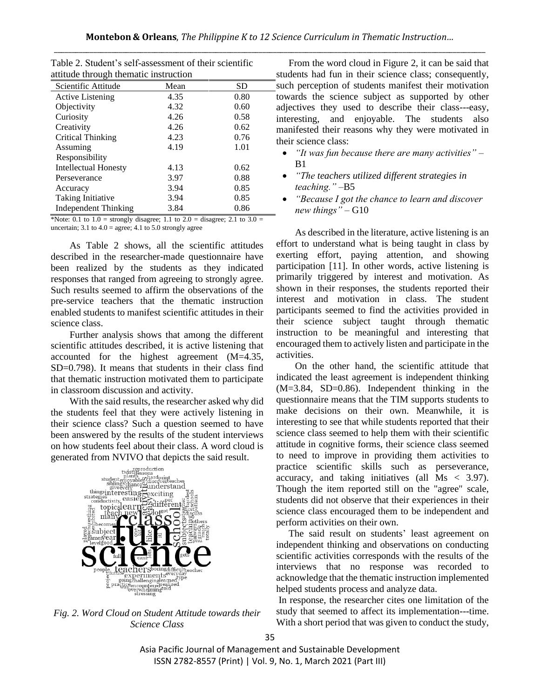| attitude through thematic instruction                                                                                                                                                                                                                                                                                                                                                                                             |                     |       |  |  |  |
|-----------------------------------------------------------------------------------------------------------------------------------------------------------------------------------------------------------------------------------------------------------------------------------------------------------------------------------------------------------------------------------------------------------------------------------|---------------------|-------|--|--|--|
| Scientific Attitude                                                                                                                                                                                                                                                                                                                                                                                                               | Mean                | SD    |  |  |  |
| <b>Active Listening</b>                                                                                                                                                                                                                                                                                                                                                                                                           | 4.35                | 0.80  |  |  |  |
| Objectivity                                                                                                                                                                                                                                                                                                                                                                                                                       | 4.32                | 0.60  |  |  |  |
| Curiosity                                                                                                                                                                                                                                                                                                                                                                                                                         | 4.26                | 0.58  |  |  |  |
| Creativity                                                                                                                                                                                                                                                                                                                                                                                                                        | 4.26                | 0.62  |  |  |  |
| Critical Thinking                                                                                                                                                                                                                                                                                                                                                                                                                 | 4.23                | 0.76  |  |  |  |
| Assuming                                                                                                                                                                                                                                                                                                                                                                                                                          | 4.19                | 1.01  |  |  |  |
| Responsibility                                                                                                                                                                                                                                                                                                                                                                                                                    |                     |       |  |  |  |
| <b>Intellectual Honesty</b>                                                                                                                                                                                                                                                                                                                                                                                                       | 4.13                | 0.62  |  |  |  |
| Perseverance                                                                                                                                                                                                                                                                                                                                                                                                                      | 3.97                | 0.88  |  |  |  |
| Accuracy                                                                                                                                                                                                                                                                                                                                                                                                                          | 3.94                | 0.85  |  |  |  |
| Taking Initiative                                                                                                                                                                                                                                                                                                                                                                                                                 | 3.94                | 0.85  |  |  |  |
| <b>Independent Thinking</b>                                                                                                                                                                                                                                                                                                                                                                                                       | 3.84                | 0.86  |  |  |  |
| $\cdot$<br>$\Delta T$ $\Delta T$ $\Delta T$ $\Delta T$ $\Delta T$ $\Delta T$ $\Delta T$ $\Delta T$ $\Delta T$ $\Delta T$ $\Delta T$ $\Delta T$ $\Delta T$ $\Delta T$ $\Delta T$ $\Delta T$ $\Delta T$ $\Delta T$ $\Delta T$ $\Delta T$ $\Delta T$ $\Delta T$ $\Delta T$ $\Delta T$ $\Delta T$ $\Delta T$ $\Delta T$ $\Delta T$ $\Delta T$ $\Delta T$ $\Delta T$ $\Delta T$ $\Delta T$ $\Delta T$ $\Delta T$ $\Delta T$ $\Delta T$ | $\cdot$<br>$\cdots$ | 21.22 |  |  |  |

Table 2. Student's self-assessment of their scientific attitude through thematic instruction

\*Note: 0.1 to  $1.0$  = strongly disagree; 1.1 to  $2.0$  = disagree; 2.1 to  $3.0$  = uncertain;  $3.1$  to  $4.0$  = agree;  $4.1$  to  $5.0$  strongly agree

As Table 2 shows, all the scientific attitudes described in the researcher-made questionnaire have been realized by the students as they indicated responses that ranged from agreeing to strongly agree. Such results seemed to affirm the observations of the pre-service teachers that the thematic instruction enabled students to manifest scientific attitudes in their science class.

Further analysis shows that among the different scientific attitudes described, it is active listening that accounted for the highest agreement (M=4.35, SD=0.798). It means that students in their class find that thematic instruction motivated them to participate in classroom discussion and activity.

With the said results, the researcher asked why did the students feel that they were actively listening in their science class? Such a question seemed to have been answered by the results of the student interviews on how students feel about their class. A word cloud is



*Fig. 2. Word Cloud on Student Attitude towards their Science Class*

From the word cloud in Figure 2, it can be said that students had fun in their science class; consequently, such perception of students manifest their motivation towards the science subject as supported by other adjectives they used to describe their class---easy, interesting, and enjoyable. The students also manifested their reasons why they were motivated in their science class:

- *"It was fun because there are many activities"*  $B1$
- *"The teachers utilized different strategies in teaching."* –B5
- *"Because I got the chance to learn and discover new things"* – G10

As described in the literature, active listening is an effort to understand what is being taught in class by exerting effort, paying attention, and showing participation [11]. In other words, active listening is primarily triggered by interest and motivation. As shown in their responses, the students reported their interest and motivation in class. The student participants seemed to find the activities provided in their science subject taught through thematic instruction to be meaningful and interesting that encouraged them to actively listen and participate in the activities.

On the other hand, the scientific attitude that indicated the least agreement is independent thinking (M=3.84, SD=0.86). Independent thinking in the questionnaire means that the TIM supports students to make decisions on their own. Meanwhile, it is interesting to see that while students reported that their science class seemed to help them with their scientific attitude in cognitive forms, their science class seemed to need to improve in providing them activities to practice scientific skills such as perseverance, accuracy, and taking initiatives (all Ms < 3.97). Though the item reported still on the "agree" scale, students did not observe that their experiences in their science class encouraged them to be independent and perform activities on their own.

The said result on students' least agreement on independent thinking and observations on conducting scientific activities corresponds with the results of the interviews that no response was recorded to acknowledge that the thematic instruction implemented helped students process and analyze data.

In response, the researcher cites one limitation of the study that seemed to affect its implementation---time. With a short period that was given to conduct the study,

Asia Pacific Journal of Management and Sustainable Development ISSN 2782-8557 (Print) | Vol. 9, No. 1, March 2021 (Part III)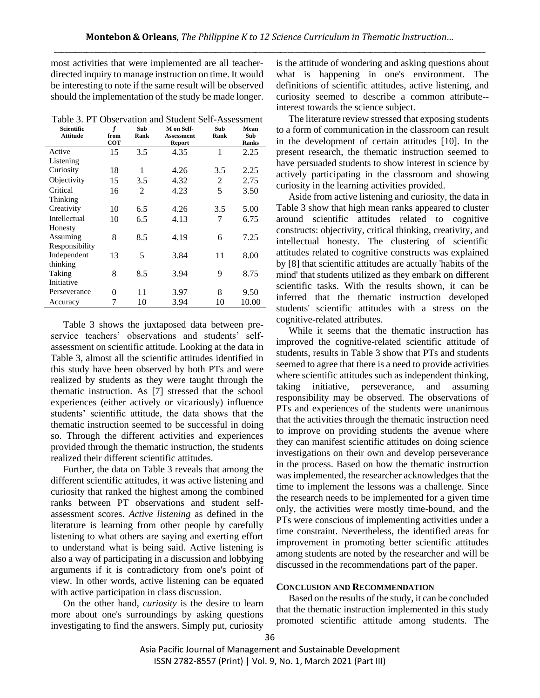most activities that were implemented are all teacherdirected inquiry to manage instruction on time. It would be interesting to note if the same result will be observed should the implementation of the study be made longer.

Table 3. PT Observation and Student Self-Assessment

| Scientific      | f          | Sub  | M on Self-        | Sub  | Mean  |
|-----------------|------------|------|-------------------|------|-------|
| <b>Attitude</b> | from       | Rank | <b>Assessment</b> | Rank | Sub   |
|                 | <b>COT</b> |      | Report            |      | Ranks |
| Active          | 15         | 3.5  | 4.35              | 1    | 2.25  |
| Listening       |            |      |                   |      |       |
| Curiosity       | 18         | 1    | 4.26              | 3.5  | 2.25  |
| Objectivity     | 15         | 3.5  | 4.32              | 2    | 2.75  |
| Critical        | 16         | 2    | 4.23              | 5    | 3.50  |
| Thinking        |            |      |                   |      |       |
| Creativity      | 10         | 6.5  | 4.26              | 3.5  | 5.00  |
| Intellectual    | 10         | 6.5  | 4.13              | 7    | 6.75  |
| Honesty         |            |      |                   |      |       |
| Assuming        | 8          | 8.5  | 4.19              | 6    | 7.25  |
| Responsibility  |            |      |                   |      |       |
| Independent     | 13         | 5    | 3.84              | 11   | 8.00  |
| thinking        |            |      |                   |      |       |
| Taking          | 8          | 8.5  | 3.94              | 9    | 8.75  |
| Initiative      |            |      |                   |      |       |
| Perseverance    | 0          | 11   | 3.97              | 8    | 9.50  |
| Accuracy        | 7          | 10   | 3.94              | 10   | 10.00 |

Table 3 shows the juxtaposed data between preservice teachers' observations and students' selfassessment on scientific attitude. Looking at the data in Table 3, almost all the scientific attitudes identified in this study have been observed by both PTs and were realized by students as they were taught through the thematic instruction. As [7] stressed that the school experiences (either actively or vicariously) influence students' scientific attitude, the data shows that the thematic instruction seemed to be successful in doing so. Through the different activities and experiences provided through the thematic instruction, the students realized their different scientific attitudes.

Further, the data on Table 3 reveals that among the different scientific attitudes, it was active listening and curiosity that ranked the highest among the combined ranks between PT observations and student selfassessment scores. *Active listening* as defined in the literature is learning from other people by carefully listening to what others are saying and exerting effort to understand what is being said. Active listening is also a way of participating in a discussion and lobbying arguments if it is contradictory from one's point of view. In other words, active listening can be equated with active participation in class discussion.

On the other hand, *curiosity* is the desire to learn more about one's surroundings by asking questions investigating to find the answers. Simply put, curiosity is the attitude of wondering and asking questions about what is happening in one's environment. The definitions of scientific attitudes, active listening, and curiosity seemed to describe a common attribute- interest towards the science subject.

The literature review stressed that exposing students to a form of communication in the classroom can result in the development of certain attitudes [10]. In the present research, the thematic instruction seemed to have persuaded students to show interest in science by actively participating in the classroom and showing curiosity in the learning activities provided.

Aside from active listening and curiosity, the data in Table 3 show that high mean ranks appeared to cluster around scientific attitudes related to cognitive constructs: objectivity, critical thinking, creativity, and intellectual honesty. The clustering of scientific attitudes related to cognitive constructs was explained by [8] that scientific attitudes are actually 'habits of the mind' that students utilized as they embark on different scientific tasks. With the results shown, it can be inferred that the thematic instruction developed students' scientific attitudes with a stress on the cognitive-related attributes.

While it seems that the thematic instruction has improved the cognitive-related scientific attitude of students, results in Table 3 show that PTs and students seemed to agree that there is a need to provide activities where scientific attitudes such as independent thinking, taking initiative, perseverance, and assuming responsibility may be observed. The observations of PTs and experiences of the students were unanimous that the activities through the thematic instruction need to improve on providing students the avenue where they can manifest scientific attitudes on doing science investigations on their own and develop perseverance in the process. Based on how the thematic instruction was implemented, the researcher acknowledges that the time to implement the lessons was a challenge. Since the research needs to be implemented for a given time only, the activities were mostly time-bound, and the PTs were conscious of implementing activities under a time constraint. Nevertheless, the identified areas for improvement in promoting better scientific attitudes among students are noted by the researcher and will be discussed in the recommendations part of the paper.

## **CONCLUSION AND RECOMMENDATION**

Based on the results of the study, it can be concluded that the thematic instruction implemented in this study promoted scientific attitude among students. The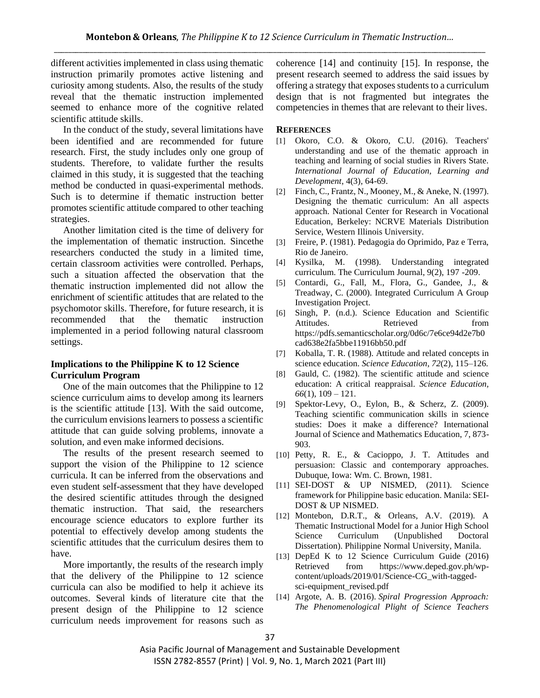different activities implemented in class using thematic instruction primarily promotes active listening and curiosity among students. Also, the results of the study reveal that the thematic instruction implemented seemed to enhance more of the cognitive related scientific attitude skills.

In the conduct of the study, several limitations have been identified and are recommended for future research. First, the study includes only one group of students. Therefore, to validate further the results claimed in this study, it is suggested that the teaching method be conducted in quasi-experimental methods. Such is to determine if thematic instruction better promotes scientific attitude compared to other teaching strategies.

Another limitation cited is the time of delivery for the implementation of thematic instruction. Sincethe researchers conducted the study in a limited time, certain classroom activities were controlled. Perhaps, such a situation affected the observation that the thematic instruction implemented did not allow the enrichment of scientific attitudes that are related to the psychomotor skills. Therefore, for future research, it is recommended that the thematic instruction implemented in a period following natural classroom settings.

## **Implications to the Philippine K to 12 Science Curriculum Program**

One of the main outcomes that the Philippine to 12 science curriculum aims to develop among its learners is the scientific attitude [13]. With the said outcome, the curriculum envisions learners to possess a scientific attitude that can guide solving problems, innovate a solution, and even make informed decisions.

The results of the present research seemed to support the vision of the Philippine to 12 science curricula. It can be inferred from the observations and even student self-assessment that they have developed the desired scientific attitudes through the designed thematic instruction. That said, the researchers encourage science educators to explore further its potential to effectively develop among students the scientific attitudes that the curriculum desires them to have.

More importantly, the results of the research imply that the delivery of the Philippine to 12 science curricula can also be modified to help it achieve its outcomes. Several kinds of literature cite that the present design of the Philippine to 12 science curriculum needs improvement for reasons such as coherence [14] and continuity [15]. In response, the present research seemed to address the said issues by offering a strategy that exposes students to a curriculum design that is not fragmented but integrates the competencies in themes that are relevant to their lives.

#### **REFERENCES**

- [1] Okoro, C.O. & Okoro, C.U. (2016). Teachers' understanding and use of the thematic approach in teaching and learning of social studies in Rivers State. *International Journal of Education, Learning and Development*, 4(3), 64-69.
- [2] Finch, C., Frantz, N., Mooney, M., & Aneke, N. (1997). Designing the thematic curriculum: An all aspects approach. National Center for Research in Vocational Education, Berkeley: NCRVE Materials Distribution Service, Western Illinois University.
- [3] Freire, P. (1981). Pedagogia do Oprimido, Paz e Terra, Rio de Janeiro.
- [4] Kysilka, M. (1998). Understanding integrated curriculum. The Curriculum Journal, 9(2), 197 -209.
- [5] Contardi, G., Fall, M., Flora, G., Gandee, J., & Treadway, C. (2000). Integrated Curriculum A Group Investigation Project.
- [6] Singh, P. (n.d.). Science Education and Scientific Attitudes. Retrieved from https://pdfs.semanticscholar.org/0d6c/7e6ce94d2e7b0 cad638e2fa5bbe11916bb50.pdf
- [7] Koballa, T. R. (1988). Attitude and related concepts in science education. *Science Education*, *72*(2), 115–126.
- [8] Gauld, C. (1982). The scientific attitude and science education: A critical reappraisal. *Science Education, 66*(1), 109 – 121.
- [9] Spektor-Levy, O., Eylon, B., & Scherz, Z. (2009). Teaching scientific communication skills in science studies: Does it make a difference? International Journal of Science and Mathematics Education, 7, 873- 903.
- [10] Petty, R. E., & Cacioppo, J. T. Attitudes and persuasion: Classic and contemporary approaches. Dubuque, Iowa: Wm. C. Brown, 1981.
- [11] SEI-DOST & UP NISMED, (2011). Science framework for Philippine basic education. Manila: SEI-DOST & UP NISMED.
- [12] Montebon, D.R.T., & Orleans, A.V. (2019). A Thematic Instructional Model for a Junior High School Science Curriculum (Unpublished Doctoral Dissertation). Philippine Normal University, Manila.
- [13] DepEd K to 12 Science Curriculum Guide (2016) Retrieved from https://www.deped.gov.ph/wpcontent/uploads/2019/01/Science-CG\_with-taggedsci-equipment revised.pdf
- [14] Argote, A. B. (2016). *Spiral Progression Approach: The Phenomenological Plight of Science Teachers*